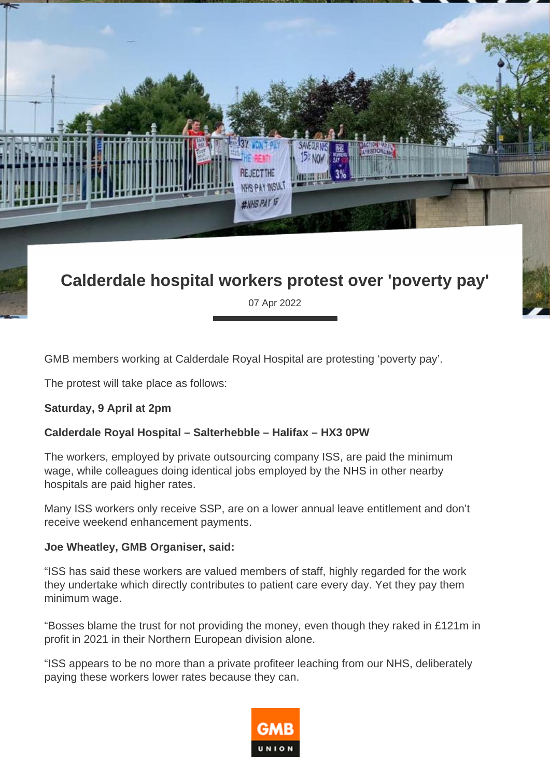

## **Calderdale hospital workers protest over 'poverty pay'**

07 Apr 2022

GMB members working at Calderdale Royal Hospital are protesting 'poverty pay'.

The protest will take place as follows:

## **Saturday, 9 April at 2pm**

## **Calderdale Royal Hospital – Salterhebble – Halifax – HX3 0PW**

The workers, employed by private outsourcing company ISS, are paid the minimum wage, while colleagues doing identical jobs employed by the NHS in other nearby hospitals are paid higher rates.

Many ISS workers only receive SSP, are on a lower annual leave entitlement and don't receive weekend enhancement payments.

## **Joe Wheatley, GMB Organiser, said:**

"ISS has said these workers are valued members of staff, highly regarded for the work they undertake which directly contributes to patient care every day. Yet they pay them minimum wage.

"Bosses blame the trust for not providing the money, even though they raked in £121m in profit in 2021 in their Northern European division alone.

"ISS appears to be no more than a private profiteer leaching from our NHS, deliberately paying these workers lower rates because they can.